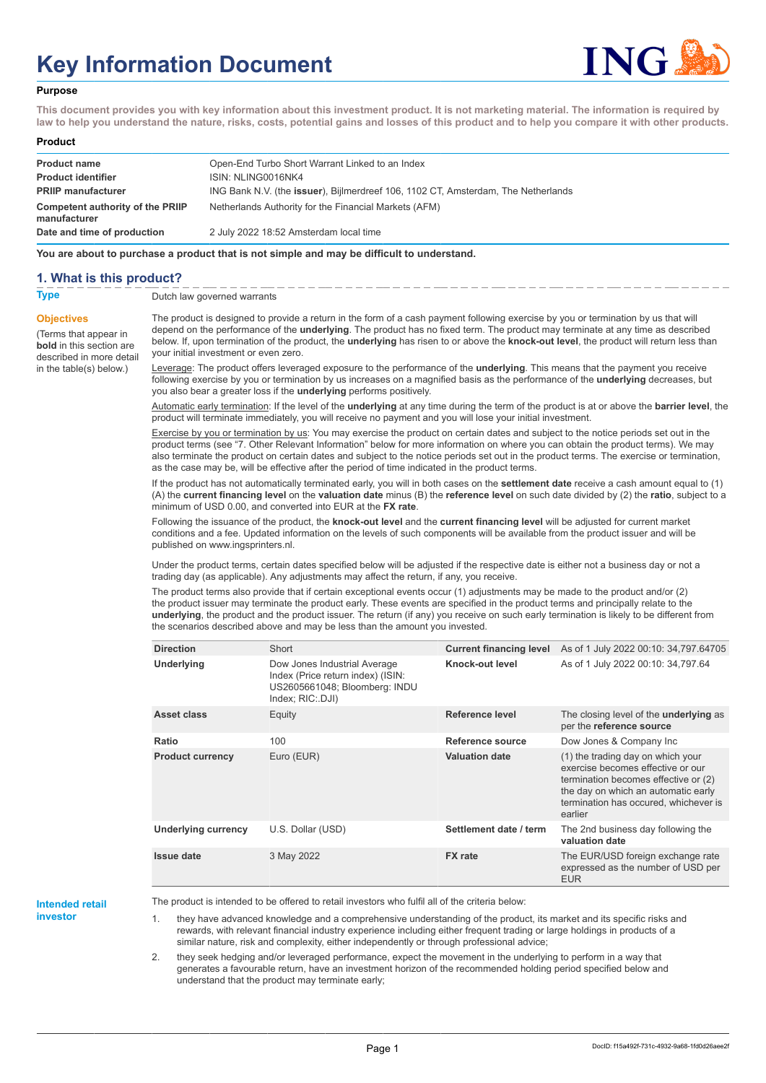# **Key Information Document**



#### **Purpose**

**This document provides you with key information about this investment product. It is not marketing material. The information is required by law to help you understand the nature, risks, costs, potential gains and losses of this product and to help you compare it with other products.**

#### **Product**

| <b>Product name</b>                              | Open-End Turbo Short Warrant Linked to an Index                                           |
|--------------------------------------------------|-------------------------------------------------------------------------------------------|
| <b>Product identifier</b>                        | ISIN: NLING0016NK4                                                                        |
| <b>PRIIP manufacturer</b>                        | ING Bank N.V. (the <b>issuer</b> ), Bijlmerdreef 106, 1102 CT, Amsterdam, The Netherlands |
| Competent authority of the PRIIP<br>manufacturer | Netherlands Authority for the Financial Markets (AFM)                                     |
| Date and time of production                      | 2 July 2022 18:52 Amsterdam local time                                                    |

**You are about to purchase a product that is not simple and may be difficult to understand.**

## **1. What is this product?**

**Objectives**

(Terms that appear in **bold** in this section are

in the table(s) below.)

**Type** Dutch law governed warrants

described in more detail The product is designed to provide a return in the form of a cash payment following exercise by you or termination by us that will depend on the performance of the **underlying**. The product has no fixed term. The product may terminate at any time as described below. If, upon termination of the product, the **underlying** has risen to or above the **knock-out level**, the product will return less than your initial investment or even zero.

> Leverage: The product offers leveraged exposure to the performance of the **underlying**. This means that the payment you receive following exercise by you or termination by us increases on a magnified basis as the performance of the **underlying** decreases, but you also bear a greater loss if the **underlying** performs positively.

Automatic early termination: If the level of the **underlying** at any time during the term of the product is at or above the **barrier level**, the product will terminate immediately, you will receive no payment and you will lose your initial investment.

Exercise by you or termination by us: You may exercise the product on certain dates and subject to the notice periods set out in the product terms (see "7. Other Relevant Information" below for more information on where you can obtain the product terms). We may also terminate the product on certain dates and subject to the notice periods set out in the product terms. The exercise or termination, as the case may be, will be effective after the period of time indicated in the product terms.

If the product has not automatically terminated early, you will in both cases on the **settlement date** receive a cash amount equal to (1) (A) the **current financing level** on the **valuation date** minus (B) the **reference level** on such date divided by (2) the **ratio**, subject to a minimum of USD 0.00, and converted into EUR at the **FX rate**.

Following the issuance of the product, the **knock-out level** and the **current financing level** will be adjusted for current market conditions and a fee. Updated information on the levels of such components will be available from the product issuer and will be published on www.ingsprinters.nl.

Under the product terms, certain dates specified below will be adjusted if the respective date is either not a business day or not a trading day (as applicable). Any adjustments may affect the return, if any, you receive.

The product terms also provide that if certain exceptional events occur (1) adjustments may be made to the product and/or (2) the product issuer may terminate the product early. These events are specified in the product terms and principally relate to the **underlying**, the product and the product issuer. The return (if any) you receive on such early termination is likely to be different from the scenarios described above and may be less than the amount you invested.

| <b>Direction</b>           | Short                                                                                                                  | <b>Current financing level</b> | As of 1 July 2022 00:10: 34,797.64705                                                                                                                                                                     |
|----------------------------|------------------------------------------------------------------------------------------------------------------------|--------------------------------|-----------------------------------------------------------------------------------------------------------------------------------------------------------------------------------------------------------|
| Underlying                 | Dow Jones Industrial Average<br>Index (Price return index) (ISIN:<br>US2605661048; Bloomberg: INDU<br>Index; RIC: DJI) | Knock-out level                | As of 1 July 2022 00:10: 34,797.64                                                                                                                                                                        |
| Asset class                | Equity                                                                                                                 | Reference level                | The closing level of the <b>underlying</b> as<br>per the reference source                                                                                                                                 |
| Ratio                      | 100                                                                                                                    | Reference source               | Dow Jones & Company Inc                                                                                                                                                                                   |
| <b>Product currency</b>    | Euro (EUR)                                                                                                             | <b>Valuation date</b>          | (1) the trading day on which your<br>exercise becomes effective or our<br>termination becomes effective or (2)<br>the day on which an automatic early<br>termination has occured, whichever is<br>earlier |
| <b>Underlying currency</b> | U.S. Dollar (USD)                                                                                                      | Settlement date / term         | The 2nd business day following the<br>valuation date                                                                                                                                                      |
| <b>Issue date</b>          | 3 May 2022                                                                                                             | <b>FX</b> rate                 | The EUR/USD foreign exchange rate<br>expressed as the number of USD per<br><b>EUR</b>                                                                                                                     |

#### **Intended retail investor**

The product is intended to be offered to retail investors who fulfil all of the criteria below:

1. they have advanced knowledge and a comprehensive understanding of the product, its market and its specific risks and rewards, with relevant financial industry experience including either frequent trading or large holdings in products of a similar nature, risk and complexity, either independently or through professional advice;

2. they seek hedging and/or leveraged performance, expect the movement in the underlying to perform in a way that generates a favourable return, have an investment horizon of the recommended holding period specified below and understand that the product may terminate early;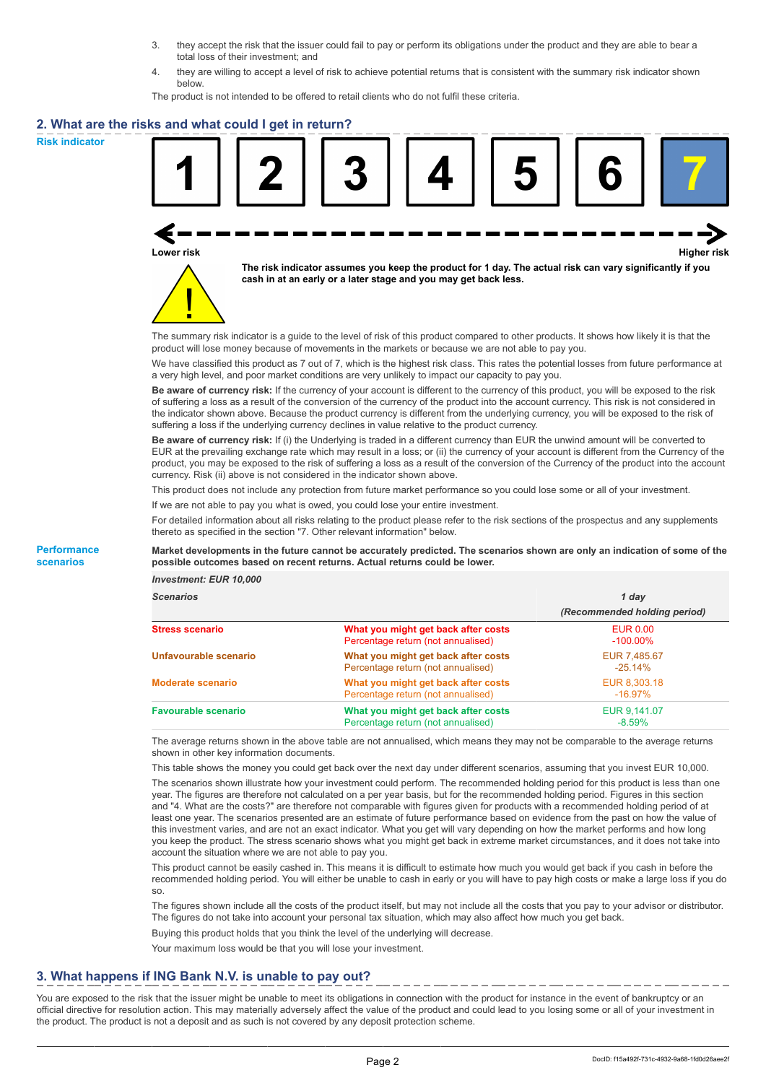- 3. they accept the risk that the issuer could fail to pay or perform its obligations under the product and they are able to bear a total loss of their investment; and
- 4. they are willing to accept a level of risk to achieve potential returns that is consistent with the summary risk indicator shown below.

The product is not intended to be offered to retail clients who do not fulfil these criteria.

## **2. What are the risks and what could I get in return?**

**Risk indicator**

**Performance scenarios**





**The risk indicator assumes you keep the product for 1 day. The actual risk can vary significantly if you cash in at an early or a later stage and you may get back less.**

The summary risk indicator is a guide to the level of risk of this product compared to other products. It shows how likely it is that the product will lose money because of movements in the markets or because we are not able to pay you.

We have classified this product as 7 out of 7, which is the highest risk class. This rates the potential losses from future performance at a very high level, and poor market conditions are very unlikely to impact our capacity to pay you.

**Be aware of currency risk:** If the currency of your account is different to the currency of this product, you will be exposed to the risk of suffering a loss as a result of the conversion of the currency of the product into the account currency. This risk is not considered in the indicator shown above. Because the product currency is different from the underlying currency, you will be exposed to the risk of suffering a loss if the underlying currency declines in value relative to the product currency.

**Be aware of currency risk:** If (i) the Underlying is traded in a different currency than EUR the unwind amount will be converted to EUR at the prevailing exchange rate which may result in a loss; or (ii) the currency of your account is different from the Currency of the product, you may be exposed to the risk of suffering a loss as a result of the conversion of the Currency of the product into the account currency. Risk (ii) above is not considered in the indicator shown above.

This product does not include any protection from future market performance so you could lose some or all of your investment.

If we are not able to pay you what is owed, you could lose your entire investment.

For detailed information about all risks relating to the product please refer to the risk sections of the prospectus and any supplements thereto as specified in the section "7. Other relevant information" below.

#### **Market developments in the future cannot be accurately predicted. The scenarios shown are only an indication of some of the possible outcomes based on recent returns. Actual returns could be lower.**

*Investment: EUR 10,000*

| <b>Scenarios</b>           |                                                                           | 1 day                          |  |
|----------------------------|---------------------------------------------------------------------------|--------------------------------|--|
|                            |                                                                           | (Recommended holding period)   |  |
| <b>Stress scenario</b>     | What you might get back after costs<br>Percentage return (not annualised) | <b>EUR 0.00</b><br>$-100.00\%$ |  |
| Unfavourable scenario      | What you might get back after costs<br>Percentage return (not annualised) | EUR 7.485.67<br>$-25.14%$      |  |
| <b>Moderate scenario</b>   | What you might get back after costs<br>Percentage return (not annualised) | EUR 8.303.18<br>$-16.97\%$     |  |
| <b>Favourable scenario</b> | What you might get back after costs<br>Percentage return (not annualised) | EUR 9,141.07<br>$-8.59%$       |  |

The average returns shown in the above table are not annualised, which means they may not be comparable to the average returns shown in other key information documents.

This table shows the money you could get back over the next day under different scenarios, assuming that you invest EUR 10,000.

The scenarios shown illustrate how your investment could perform. The recommended holding period for this product is less than one year. The figures are therefore not calculated on a per year basis, but for the recommended holding period. Figures in this section and "4. What are the costs?" are therefore not comparable with figures given for products with a recommended holding period of at least one year. The scenarios presented are an estimate of future performance based on evidence from the past on how the value of this investment varies, and are not an exact indicator. What you get will vary depending on how the market performs and how long you keep the product. The stress scenario shows what you might get back in extreme market circumstances, and it does not take into account the situation where we are not able to pay you.

This product cannot be easily cashed in. This means it is difficult to estimate how much you would get back if you cash in before the recommended holding period. You will either be unable to cash in early or you will have to pay high costs or make a large loss if you do so.

The figures shown include all the costs of the product itself, but may not include all the costs that you pay to your advisor or distributor. The figures do not take into account your personal tax situation, which may also affect how much you get back.

Buying this product holds that you think the level of the underlying will decrease.

Your maximum loss would be that you will lose your investment.

# **3. What happens if ING Bank N.V. is unable to pay out?**

You are exposed to the risk that the issuer might be unable to meet its obligations in connection with the product for instance in the event of bankruptcy or an official directive for resolution action. This may materially adversely affect the value of the product and could lead to you losing some or all of your investment in the product. The product is not a deposit and as such is not covered by any deposit protection scheme.